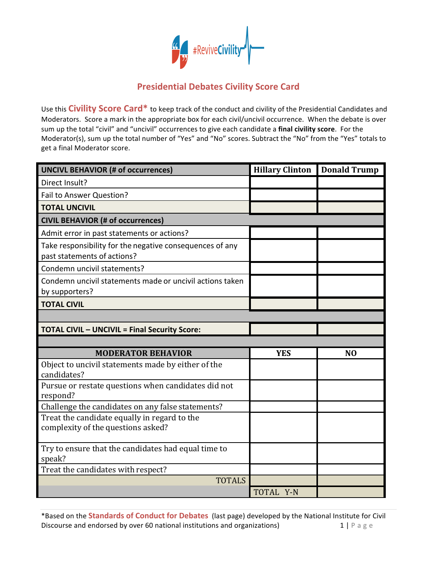

## **Presidential Debates Civility Score Card**

Use this **Civility Score Card\*** to keep track of the conduct and civility of the Presidential Candidates and Moderators. Score a mark in the appropriate box for each civil/uncivil occurrence. When the debate is over sum up the total "civil" and "uncivil" occurrences to give each candidate a final civility score. For the Moderator(s), sum up the total number of "Yes" and "No" scores. Subtract the "No" from the "Yes" totals to get a final Moderator score.

| <b>UNCIVL BEHAVIOR (# of occurrences)</b>                                               | <b>Hillary Clinton</b> | <b>Donald Trump</b> |
|-----------------------------------------------------------------------------------------|------------------------|---------------------|
| Direct Insult?                                                                          |                        |                     |
| Fail to Answer Question?                                                                |                        |                     |
| <b>TOTAL UNCIVIL</b>                                                                    |                        |                     |
| <b>CIVIL BEHAVIOR (# of occurrences)</b>                                                |                        |                     |
| Admit error in past statements or actions?                                              |                        |                     |
| Take responsibility for the negative consequences of any<br>past statements of actions? |                        |                     |
| Condemn uncivil statements?                                                             |                        |                     |
| Condemn uncivil statements made or uncivil actions taken<br>by supporters?              |                        |                     |
| <b>TOTAL CIVIL</b>                                                                      |                        |                     |
|                                                                                         |                        |                     |
| <b>TOTAL CIVIL - UNCIVIL = Final Security Score:</b>                                    |                        |                     |
|                                                                                         |                        |                     |
| <b>MODERATOR BEHAVIOR</b>                                                               | <b>YES</b>             | N <sub>O</sub>      |
| Object to uncivil statements made by either of the<br>candidates?                       |                        |                     |
| Pursue or restate questions when candidates did not<br>respond?                         |                        |                     |
| Challenge the candidates on any false statements?                                       |                        |                     |
| Treat the candidate equally in regard to the<br>complexity of the questions asked?      |                        |                     |
| Try to ensure that the candidates had equal time to<br>speak?                           |                        |                     |
| Treat the candidates with respect?                                                      |                        |                     |
| <b>TOTALS</b>                                                                           |                        |                     |
|                                                                                         | TOTAL Y-N              |                     |

\*Based on the **Standards of Conduct for Debates** (last page) developed by the National Institute for Civil Discourse and endorsed by over 60 national institutions and organizations) 1 | P a g e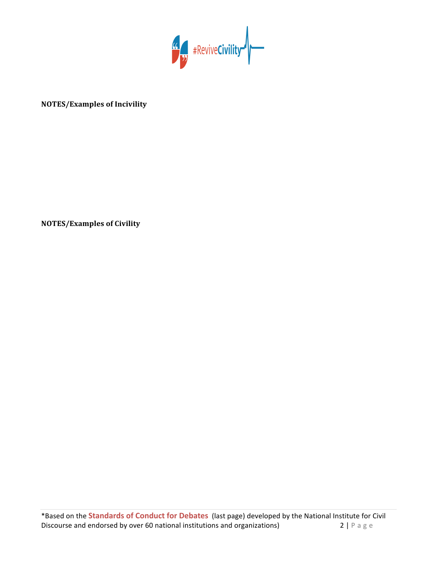

## **NOTES/Examples of Incivility**

**NOTES/Examples of Civility**